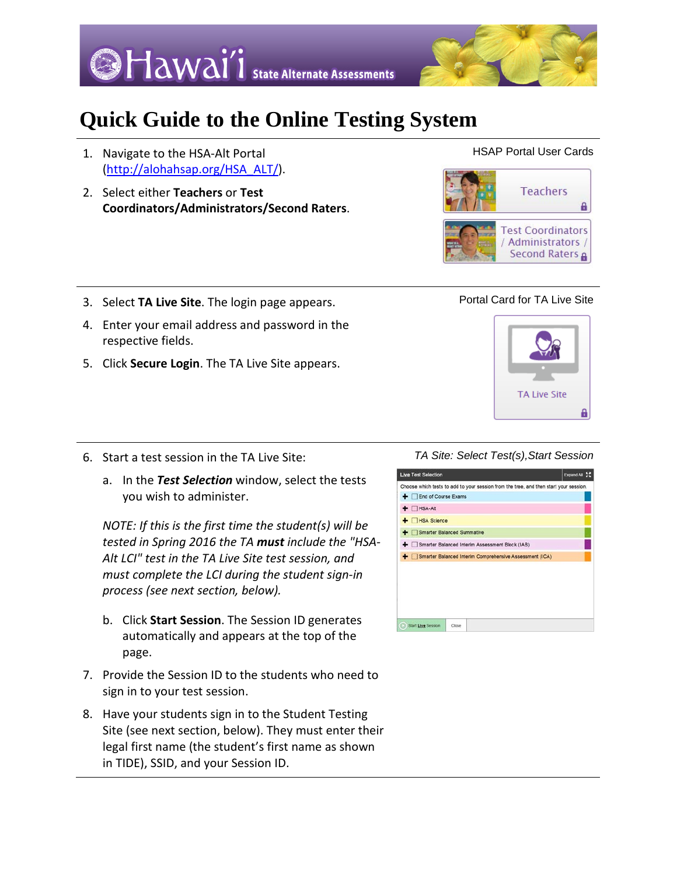



# **Quick Guide to the Online Testing System**

- 1. Navigate to the HSA-Alt Portal [\(http://alohahsap.org/HSA\\_ALT/\)](http://alohahsap.org/HSA_ALT/).
- 2. Select either **Teachers** or **Test Coordinators/Administrators/Second Raters**.



HSAP Portal User Cards

- 3. Select **TA Live Site**. The login page appears.
- 4. Enter your email address and password in the respective fields.
- 5. Click **Secure Login**. The TA Live Site appears.



- 6. Start a test session in the TA Live Site:
	- a. In the *Test Selection* window, select the tests you wish to administer.

*NOTE: If this is the first time the student(s) will be tested in Spring 2016 the TA must include the "HSA-Alt LCI" test in the TA Live Site test session, and must complete the LCI during the student sign-in process (see next section, below).*

- b. Click **Start Session**. The Session ID generates automatically and appears at the top of the page.
- 7. Provide the Session ID to the students who need to sign in to your test session.
- 8. Have your students sign in to the Student Testing Site (see next section, below). They must enter their legal first name (the student's first name as shown in TIDE), SSID, and your Session ID.

# *TA Site: Select Test(s),Start Session*

| <b>Live Test Selection</b> |                                                                                       | Expand All 50 |
|----------------------------|---------------------------------------------------------------------------------------|---------------|
|                            | Choose which tests to add to your session from the tree, and then start your session. |               |
| + End of Course Exams      |                                                                                       |               |
| $+$ $\Box$ HSA-Alt         |                                                                                       |               |
| $+$ $\Box$ HSA Science     |                                                                                       |               |
| Smarter Balanced Summative |                                                                                       |               |
|                            | Smarter Balanced Interim Assessment Block (IAB)                                       |               |
|                            | Smarter Balanced Interim Comprehensive Assessment (ICA)                               |               |
|                            |                                                                                       |               |
|                            |                                                                                       |               |
|                            |                                                                                       |               |
|                            |                                                                                       |               |
|                            |                                                                                       |               |
| Start Live Session         | Close                                                                                 |               |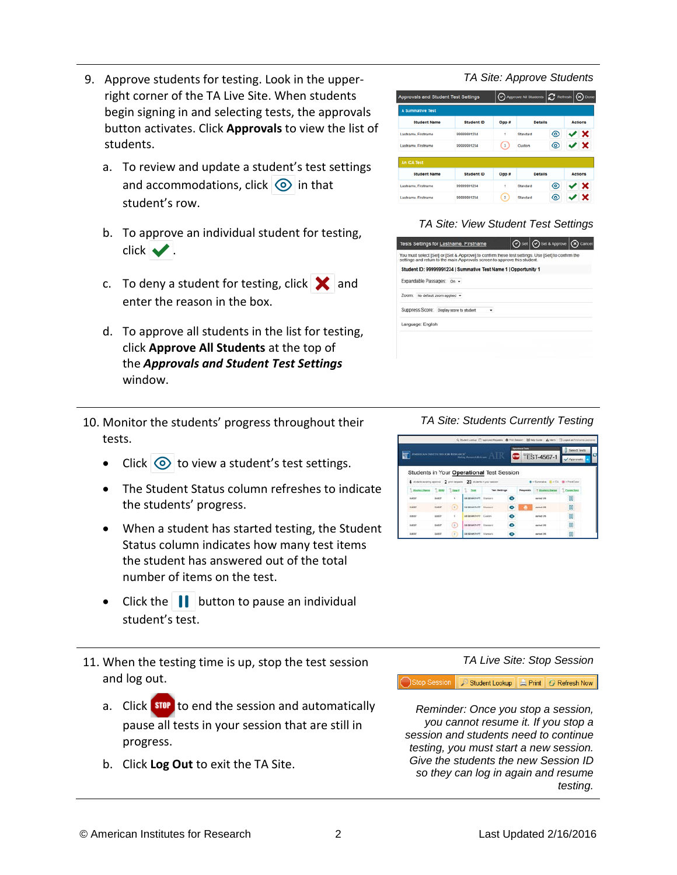- 9. Approve students for testing. Look in the upperright corner of the TA Live Site. When students begin signing in and selecting tests, the approvals button activates. Click **Approvals** to view the list of students.
	- a. To review and update a student's test settings and accommodations, click  $\bigcirc$  in that student's row.
	- b. To approve an individual student for testing,  $click \blacktriangleright$ .
	- c. To deny a student for testing, click  $\mathbf{\times}$  and enter the reason in the box.
	- d. To approve all students in the list for testing, click **Approve All Students** at the top of the *Approvals and Student Test Settings* window.
- 10. Monitor the students' progress throughout their tests.
	- Click  $\odot$  to view a student's test settings.
	- The Student Status column refreshes to indicate the students' progress.
	- When a student has started testing, the Student Status column indicates how many test items the student has answered out of the total number of items on the test.
	- Click the  $\|\cdot\|$  button to pause an individual student's test.
- 11. When the testing time is up, stop the test session and log out.
	- a. Click stop to end the session and automatically pause all tests in your session that are still in progress.
	- b. Click **Log Out** to exit the TA Site.

### *TA Site: Approve Students*

| Approvals and Student Test Settings |                   |                          | $\bigodot$ Approve All Students $\bigcup_{n=1}^{\infty}$ Refresh $\big(\widehat{X}\big)$ Done |   |                |
|-------------------------------------|-------------------|--------------------------|-----------------------------------------------------------------------------------------------|---|----------------|
| A Summative Test                    |                   |                          |                                                                                               |   |                |
| <b>Student Name</b>                 | <b>Student ID</b> | Opp #                    | <b>Details</b>                                                                                |   | <b>Actions</b> |
| Lastname, Firstname                 | 99999991234       | ۹                        | <b>Standard</b>                                                                               | ⊚ | V X            |
| Lastname, Firstname                 | 99999991234       | з                        | Custom                                                                                        | ര | V X            |
| An ICA Test                         |                   |                          |                                                                                               |   |                |
| <b>Student Name</b>                 | <b>Student ID</b> | Opp #                    | <b>Details</b>                                                                                |   | Actions        |
| Lastname, Firstname                 | 00000001234       | ٠                        | <b>Standard</b>                                                                               | ◉ | {' X           |
| Lastname, Firstname                 | 00000001234       | $\overline{\phantom{a}}$ | Standard                                                                                      | ര | ×              |

# *TA Site: View Student Test Settings*

| Tests Settings for Lastname, Firstname                                                                                                                                         | $\bigodot$ Set $\bigodot$ Set & Approve $\bigodot$ Cancel |  |
|--------------------------------------------------------------------------------------------------------------------------------------------------------------------------------|-----------------------------------------------------------|--|
| You must select [Sef] or [Set & Approve] to confirm these test settings. Use [Sef] to confirm the<br>settings and return to the main Approvals screen to approve this student. |                                                           |  |
| Student ID: 99999991234   Summative Test Name 1   Opportunity 1                                                                                                                |                                                           |  |
| Expandable Passages: on -                                                                                                                                                      |                                                           |  |
| ZOOff): No default zoom applied +                                                                                                                                              |                                                           |  |
| Suppress Score: Display score to student<br>٠                                                                                                                                  |                                                           |  |
| Language: English                                                                                                                                                              |                                                           |  |
|                                                                                                                                                                                |                                                           |  |
|                                                                                                                                                                                |                                                           |  |
|                                                                                                                                                                                |                                                           |  |

### *TA Site: Students Currently Testing*

| <b>AMERICAN INSTITUTES FOR EXSEARCH®</b>                    |              |                        |                           | $\frac{1}{\text{Adi}(\text{tr}_\text{M} \text{tr}_\text{M} \text{tr}_\text{M} \text{tr}_\text{M} \text{tr}_\text{M} \text{tr}_\text{M} \text{tr}_\text{M} \text{tr}_\text{M} \text{tr}_\text{M} \text{tr}_\text{M} \text{tr}_\text{M} \text{tr}_\text{M} \text{tr}_\text{M} \text{tr}_\text{M} \text{tr}_\text{M} \text{tr}_\text{M} \text{tr}_\text{M} \text{tr}_\text{M} \text{tr}_\text{M} \text{tr}_\text{M} \text{tr}_\text{M$ |   | <b>Services</b> Team | <b>C</b> TEST-4567-1                    | Sevect Tests<br>$V$ Approvals |
|-------------------------------------------------------------|--------------|------------------------|---------------------------|-------------------------------------------------------------------------------------------------------------------------------------------------------------------------------------------------------------------------------------------------------------------------------------------------------------------------------------------------------------------------------------------------------------------------------------|---|----------------------|-----------------------------------------|-------------------------------|
|                                                             |              |                        |                           | Students in Your Operational Test Session                                                                                                                                                                                                                                                                                                                                                                                           |   |                      |                                         |                               |
| 4 month analog approx 2 protogram. 23 milette in pay sessor |              |                        |                           |                                                                                                                                                                                                                                                                                                                                                                                                                                     |   |                      | <b>B</b> - Sunneba, B - CA B - Twelfoor |                               |
| Shulest Name 5, 3302 State 5, Test                          |              |                        |                           | Test Bettings                                                                                                                                                                                                                                                                                                                                                                                                                       |   | Reportes             | T Steinst Behm   Cours Test             |                               |
| <b>MARKET</b>                                               | over         | ¥.                     | database of Contact       |                                                                                                                                                                                                                                                                                                                                                                                                                                     | ۰ |                      | <b><i>AMMEDIA</i></b>                   | OO.                           |
| DUEST                                                       | <b>GLAST</b> | $\left( 1\right)$      | GESEMAN PT Standard       |                                                                                                                                                                                                                                                                                                                                                                                                                                     | o |                      | started 2/6                             | 88                            |
| <b>UGST</b>                                                 | <b>ULKST</b> |                        | <b>GREENWIN PT Custom</b> |                                                                                                                                                                                                                                                                                                                                                                                                                                     | ۰ |                      | saled US                                | 00                            |
| <b>BAKS?</b>                                                | OURSY        | $\left(3\right)$       | <b>GRIS MOVE DIANGER</b>  |                                                                                                                                                                                                                                                                                                                                                                                                                                     | o |                      | started DR                              | 80                            |
| GUESS                                                       | <b>GUIDE</b> | $\left  \cdot \right $ | GASA MADE PT. Standard    |                                                                                                                                                                                                                                                                                                                                                                                                                                     | ۰ |                      | market ON                               | 00                            |

*TA Live Site: Stop Session*

Stop Session | Student Lookup | A Print | G Refresh Now

*Reminder: Once you stop a session, you cannot resume it. If you stop a session and students need to continue testing, you must start a new session. Give the students the new Session ID so they can log in again and resume testing.*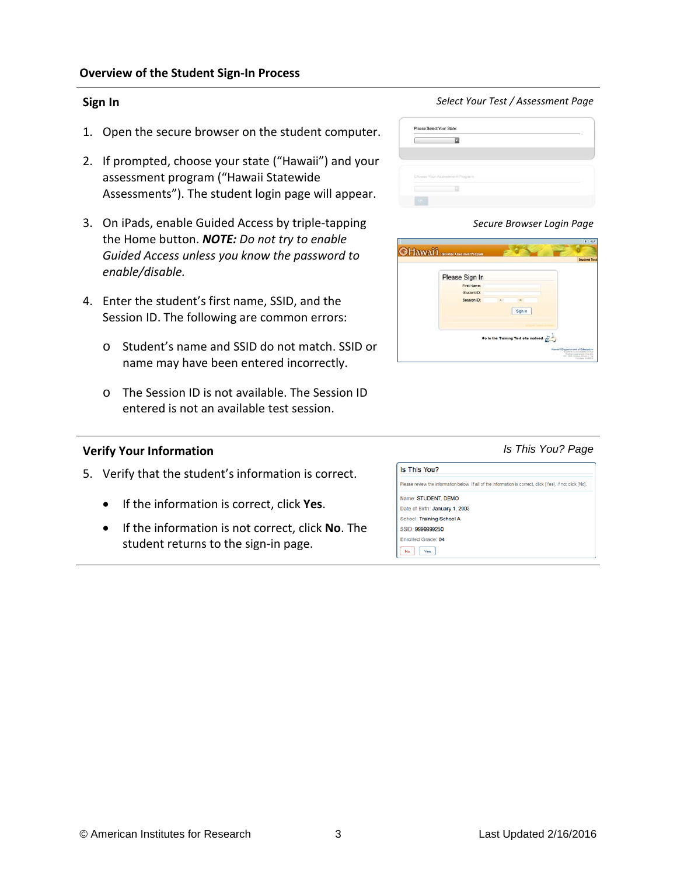# **Sign In**

- 1. Open the secure browser on the student computer.
- 2. If prompted, choose your state ("Hawaii") and your assessment program ("Hawaii Statewide Assessments"). The student login page will appear.
- 3. On iPads, enable Guided Access by triple-tapping the Home button. *NOTE: Do not try to enable Guided Access unless you know the password to enable/disable.*
- 4. Enter the student's first name, SSID, and the Session ID. The following are common errors:
	- o Student's name and SSID do not match. SSID or name may have been entered incorrectly.
	- o The Session ID is not available. The Session ID entered is not an available test session.

# **Verify Your Information**

- 5. Verify that the student's information is correct.
	- If the information is correct, click **Yes**.
	- If the information is not correct, click **No**. The student returns to the sign-in page.

# *Select Your Test / Assessment Page*

| Choose Your Assessment Program: |  |
|---------------------------------|--|
|                                 |  |

*Secure Browser Login Page*

*Is This You? Page*

| <b>OHAWAIT</b> STANDARD ASSOCIATE PROPERTY | <b>Student Test</b>                                                               |
|--------------------------------------------|-----------------------------------------------------------------------------------|
| Please Sign In                             |                                                                                   |
| First Name:                                |                                                                                   |
| Student ID:                                |                                                                                   |
| Session ID:                                |                                                                                   |
| Sign In                                    |                                                                                   |
|                                            |                                                                                   |
|                                            |                                                                                   |
| Go to the Training Test site instead.      |                                                                                   |
|                                            | lawal'l Department of Education<br><b>CONTACTOR</b> CONTACT<br><b>Column Ford</b> |